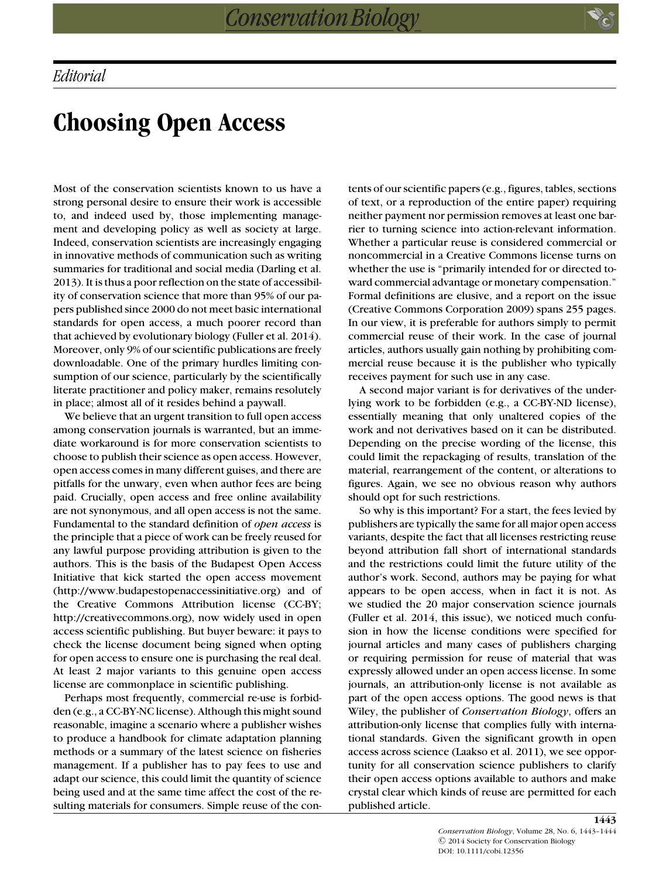## **Choosing Open Access**

Most of the conservation scientists known to us have a strong personal desire to ensure their work is accessible to, and indeed used by, those implementing management and developing policy as well as society at large. Indeed, conservation scientists are increasingly engaging in innovative methods of communication such as writing summaries for traditional and social media (Darling et al. 2013). It is thus a poor reflection on the state of accessibility of conservation science that more than 95% of our papers published since 2000 do not meet basic international standards for open access, a much poorer record than that achieved by evolutionary biology (Fuller et al. 2014). Moreover, only 9% of our scientific publications are freely downloadable. One of the primary hurdles limiting consumption of our science, particularly by the scientifically literate practitioner and policy maker, remains resolutely in place; almost all of it resides behind a paywall.

We believe that an urgent transition to full open access among conservation journals is warranted, but an immediate workaround is for more conservation scientists to choose to publish their science as open access. However, open access comes in many different guises, and there are pitfalls for the unwary, even when author fees are being paid. Crucially, open access and free online availability are not synonymous, and all open access is not the same. Fundamental to the standard definition of *open access* is the principle that a piece of work can be freely reused for any lawful purpose providing attribution is given to the authors. This is the basis of the Budapest Open Access Initiative that kick started the open access movement (http://www.budapestopenaccessinitiative.org) and of the Creative Commons Attribution license (CC-BY; http://creativecommons.org), now widely used in open access scientific publishing. But buyer beware: it pays to check the license document being signed when opting for open access to ensure one is purchasing the real deal. At least 2 major variants to this genuine open access license are commonplace in scientific publishing.

Perhaps most frequently, commercial re-use is forbidden (e.g., a CC-BY-NC license). Although this might sound reasonable, imagine a scenario where a publisher wishes to produce a handbook for climate adaptation planning methods or a summary of the latest science on fisheries management. If a publisher has to pay fees to use and adapt our science, this could limit the quantity of science being used and at the same time affect the cost of the resulting materials for consumers. Simple reuse of the contents of our scientific papers (e.g., figures, tables, sections of text, or a reproduction of the entire paper) requiring neither payment nor permission removes at least one barrier to turning science into action-relevant information. Whether a particular reuse is considered commercial or noncommercial in a Creative Commons license turns on whether the use is "primarily intended for or directed toward commercial advantage or monetary compensation." Formal definitions are elusive, and a report on the issue (Creative Commons Corporation 2009) spans 255 pages. In our view, it is preferable for authors simply to permit commercial reuse of their work. In the case of journal articles, authors usually gain nothing by prohibiting commercial reuse because it is the publisher who typically receives payment for such use in any case.

A second major variant is for derivatives of the underlying work to be forbidden (e.g., a CC-BY-ND license), essentially meaning that only unaltered copies of the work and not derivatives based on it can be distributed. Depending on the precise wording of the license, this could limit the repackaging of results, translation of the material, rearrangement of the content, or alterations to figures. Again, we see no obvious reason why authors should opt for such restrictions.

So why is this important? For a start, the fees levied by publishers are typically the same for all major open access variants, despite the fact that all licenses restricting reuse beyond attribution fall short of international standards and the restrictions could limit the future utility of the author's work. Second, authors may be paying for what appears to be open access, when in fact it is not. As we studied the 20 major conservation science journals (Fuller et al. 2014, this issue), we noticed much confusion in how the license conditions were specified for journal articles and many cases of publishers charging or requiring permission for reuse of material that was expressly allowed under an open access license. In some journals, an attribution-only license is not available as part of the open access options. The good news is that Wiley, the publisher of *Conservation Biology*, offers an attribution-only license that complies fully with international standards. Given the significant growth in open access across science (Laakso et al. 2011), we see opportunity for all conservation science publishers to clarify their open access options available to authors and make crystal clear which kinds of reuse are permitted for each published article.